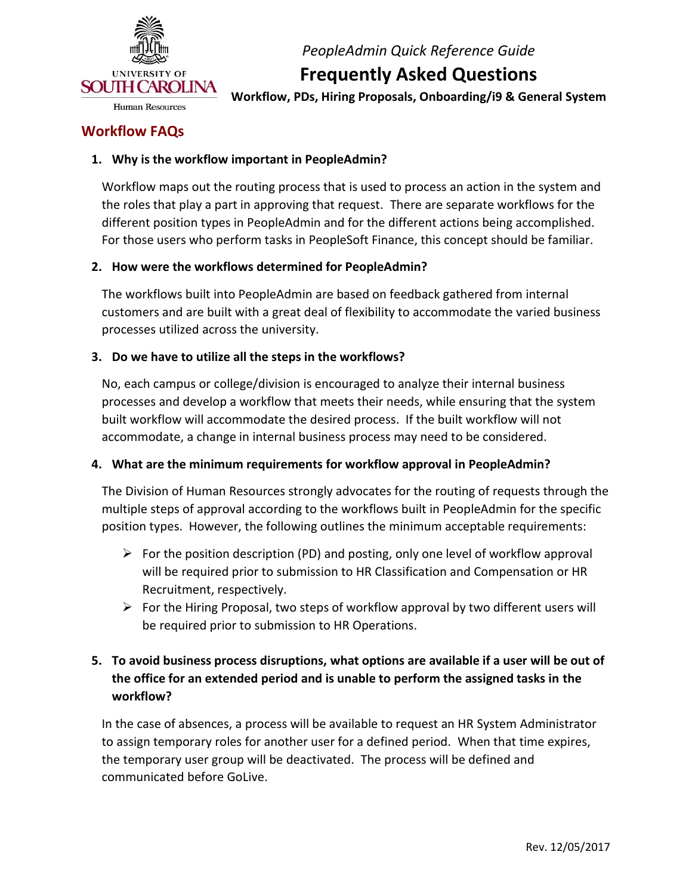

# **Frequently Asked Questions**

 **Workflow, PDs, Hiring Proposals, Onboarding/i9 & General System** 

### **Workflow FAQs**

#### **1. Why is the workflow important in PeopleAdmin?**

 Workflow maps out the routing process that is used to process an action in the system and the roles that play a part in approving that request. There are separate workflows for the different position types in PeopleAdmin and for the different actions being accomplished. For those users who perform tasks in PeopleSoft Finance, this concept should be familiar.

#### **2. How were the workflows determined for PeopleAdmin?**

 The workflows built into PeopleAdmin are based on feedback gathered from internal customers and are built with a great deal of flexibility to accommodate the varied business processes utilized across the university.

#### **3. Do we have to utilize all the steps in the workflows?**

 No, each campus or college/division is encouraged to analyze their internal business processes and develop a workflow that meets their needs, while ensuring that the system built workflow will accommodate the desired process. If the built workflow will not accommodate, a change in internal business process may need to be considered.

#### **4. What are the minimum requirements for workflow approval in PeopleAdmin?**

 The Division of Human Resources strongly advocates for the routing of requests through the multiple steps of approval according to the workflows built in PeopleAdmin for the specific position types. However, the following outlines the minimum acceptable requirements:

- $\triangleright$  For the position description (PD) and posting, only one level of workflow approval will be required prior to submission to HR Classification and Compensation or HR Recruitment, respectively.
- be required prior to submission to HR Operations.  $\triangleright$  For the Hiring Proposal, two steps of workflow approval by two different users will

## **5. To avoid business process disruptions, what options are available if a user will be out of the office for an extended period and is unable to perform the assigned tasks in the workflow?**

 In the case of absences, a process will be available to request an HR System Administrator to assign temporary roles for another user for a defined period. When that time expires, the temporary user group will be deactivated. The process will be defined and communicated before GoLive.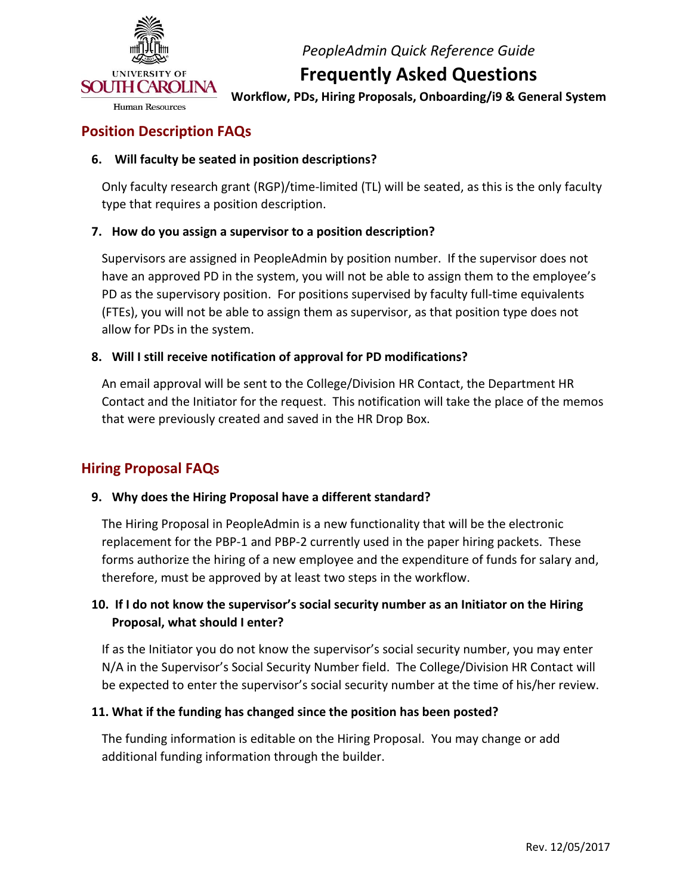

## **Frequently Asked Questions**

 **Workflow, PDs, Hiring Proposals, Onboarding/i9 & General System** 

## **Position Description FAQs**

### **6. Will faculty be seated in position descriptions?**

 Only faculty research grant (RGP)/time-limited (TL) will be seated, as this is the only faculty type that requires a position description.

#### **7. How do you assign a supervisor to a position description?**

 Supervisors are assigned in PeopleAdmin by position number. If the supervisor does not have an approved PD in the system, you will not be able to assign them to the employee's PD as the supervisory position. For positions supervised by faculty full-time equivalents (FTEs), you will not be able to assign them as supervisor, as that position type does not allow for PDs in the system.

#### **8. Will I still receive notification of approval for PD modifications?**

 An email approval will be sent to the College/Division HR Contact, the Department HR Contact and the Initiator for the request. This notification will take the place of the memos that were previously created and saved in the HR Drop Box.

## **Hiring Proposal FAQs**

#### **9. Why does the Hiring Proposal have a different standard?**

 The Hiring Proposal in PeopleAdmin is a new functionality that will be the electronic replacement for the PBP-1 and PBP-2 currently used in the paper hiring packets. These forms authorize the hiring of a new employee and the expenditure of funds for salary and, therefore, must be approved by at least two steps in the workflow.

### **10. If I do not know the supervisor's social security number as an Initiator on the Hiring Proposal, what should I enter?**

 If as the Initiator you do not know the supervisor's social security number, you may enter N/A in the Supervisor's Social Security Number field. The College/Division HR Contact will be expected to enter the supervisor's social security number at the time of his/her review.

#### **11. What if the funding has changed since the position has been posted?**

 The funding information is editable on the Hiring Proposal. You may change or add additional funding information through the builder.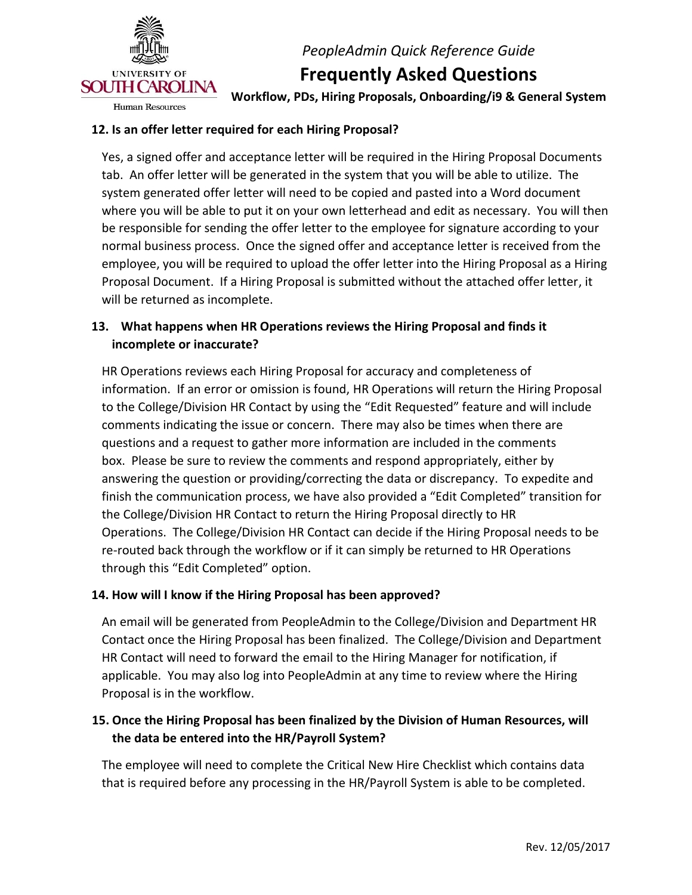

**Frequently Asked Questions** 

**Human Resources** 

 **Workflow, PDs, Hiring Proposals, Onboarding/i9 & General System** 

#### **12. Is an offer letter required for each Hiring Proposal?**

 Yes, a signed offer and acceptance letter will be required in the Hiring Proposal Documents tab. An offer letter will be generated in the system that you will be able to utilize. The system generated offer letter will need to be copied and pasted into a Word document where you will be able to put it on your own letterhead and edit as necessary. You will then be responsible for sending the offer letter to the employee for signature according to your normal business process. Once the signed offer and acceptance letter is received from the employee, you will be required to upload the offer letter into the Hiring Proposal as a Hiring Proposal Document. If a Hiring Proposal is submitted without the attached offer letter, it will be returned as incomplete.

### **13. What happens when HR Operations reviews the Hiring Proposal and finds it incomplete or inaccurate?**

 HR Operations reviews each Hiring Proposal for accuracy and completeness of information. If an error or omission is found, HR Operations will return the Hiring Proposal to the College/Division HR Contact by using the "Edit Requested" feature and will include comments indicating the issue or concern. There may also be times when there are questions and a request to gather more information are included in the comments box. Please be sure to review the comments and respond appropriately, either by answering the question or providing/correcting the data or discrepancy. To expedite and finish the communication process, we have also provided a "Edit Completed" transition for the College/Division HR Contact to return the Hiring Proposal directly to HR Operations. The College/Division HR Contact can decide if the Hiring Proposal needs to be re-routed back through the workflow or if it can simply be returned to HR Operations through this "Edit Completed" option.

#### **14. How will I know if the Hiring Proposal has been approved?**

 An email will be generated from PeopleAdmin to the College/Division and Department HR Contact once the Hiring Proposal has been finalized. The College/Division and Department HR Contact will need to forward the email to the Hiring Manager for notification, if applicable. You may also log into PeopleAdmin at any time to review where the Hiring Proposal is in the workflow.

## **15. Once the Hiring Proposal has been finalized by the Division of Human Resources, will the data be entered into the HR/Payroll System?**

 The employee will need to complete the Critical New Hire Checklist which contains data that is required before any processing in the HR/Payroll System is able to be completed.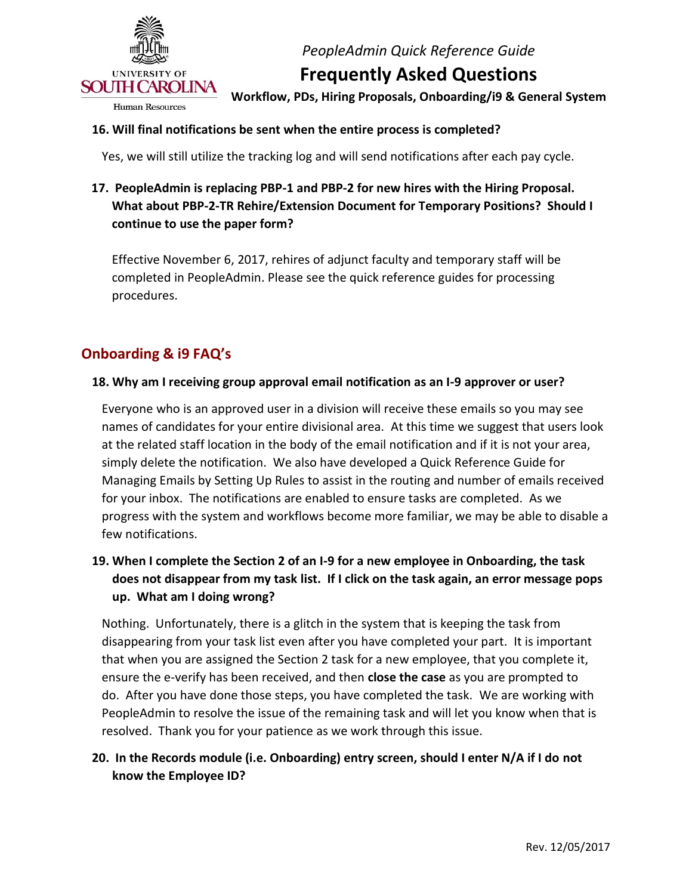

**Frequently Asked Questions** 

 **Workflow, PDs, Hiring Proposals, Onboarding/i9 & General System** 

### **16. Will final notifications be sent when the entire process is completed?**

Yes, we will still utilize the tracking log and will send notifications after each pay cycle.

## **17. PeopleAdmin is replacing PBP-1 and PBP-2 for new hires with the Hiring Proposal. What about PBP-2-TR Rehire/Extension Document for Temporary Positions? Should I continue to use the paper form?**

 Effective November 6, 2017, rehires of adjunct faculty and temporary staff will be completed in PeopleAdmin. Please see the quick reference guides for processing procedures.

## **Onboarding & i9 FAQ's**

#### **18. Why am I receiving group approval email notification as an I-9 approver or user?**

 Everyone who is an approved user in a division will receive these emails so you may see names of candidates for your entire divisional area. At this time we suggest that users look at the related staff location in the body of the email notification and if it is not your area, simply delete the notification. We also have developed a Quick Reference Guide for Managing Emails by Setting Up Rules to assist in the routing and number of emails received for your inbox. The notifications are enabled to ensure tasks are completed. As we progress with the system and workflows become more familiar, we may be able to disable a few notifications.

## **19. When I complete the Section 2 of an I-9 for a new employee in Onboarding, the task does not disappear from my task list. If I click on the task again, an error message pops up. What am I doing wrong?**

 Nothing. Unfortunately, there is a glitch in the system that is keeping the task from disappearing from your task list even after you have completed your part. It is important that when you are assigned the Section 2 task for a new employee, that you complete it, ensure the e-verify has been received, and then **close the case** as you are prompted to do. After you have done those steps, you have completed the task. We are working with PeopleAdmin to resolve the issue of the remaining task and will let you know when that is resolved. Thank you for your patience as we work through this issue.

## **20. In the Records module (i.e. Onboarding) entry screen, should I enter N/A if I do not know the Employee ID?**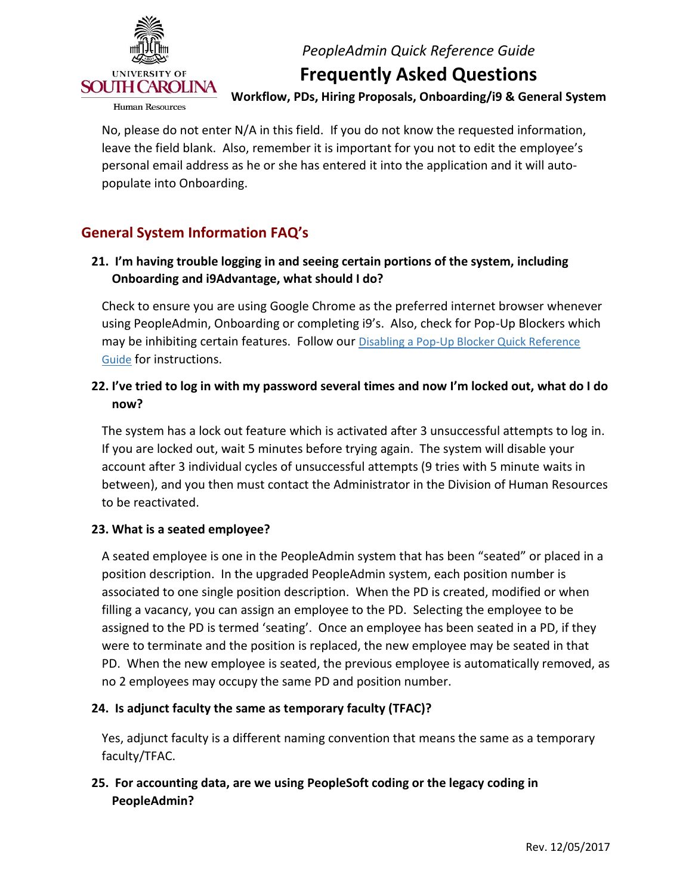

## **Frequently Asked Questions**

 **Workflow, PDs, Hiring Proposals, Onboarding/i9 & General System** 

 No, please do not enter N/A in this field. If you do not know the requested information, leave the field blank. Also, remember it is important for you not to edit the employee's personal email address as he or she has entered it into the application and it will autopopulate into Onboarding.

## **General System Information FAQ's**

## **21. I'm having trouble logging in and seeing certain portions of the system, including Onboarding and i9Advantage, what should I do?**

 Check to ensure you are using Google Chrome as the preferred internet browser whenever using PeopleAdmin, Onboarding or completing i9's. Also, check for Pop-Up Blockers which may be inhibiting certain features. Follow our **Disabling a Pop-Up Blocker Quick Reference** [Guide](http://www.sc.edu/about/offices_and_divisions/human_resources/docs/pa_disabling_pop_up_blocker.pdf) for instructions.

## **22. I've tried to log in with my password several times and now I'm locked out, what do I do now?**

 The system has a lock out feature which is activated after 3 unsuccessful attempts to log in. If you are locked out, wait 5 minutes before trying again. The system will disable your account after 3 individual cycles of unsuccessful attempts (9 tries with 5 minute waits in between), and you then must contact the Administrator in the Division of Human Resources to be reactivated.

#### **23. What is a seated employee?**

 A seated employee is one in the PeopleAdmin system that has been "seated" or placed in a position description. In the upgraded PeopleAdmin system, each position number is associated to one single position description. When the PD is created, modified or when filling a vacancy, you can assign an employee to the PD. Selecting the employee to be assigned to the PD is termed 'seating'. Once an employee has been seated in a PD, if they were to terminate and the position is replaced, the new employee may be seated in that PD. When the new employee is seated, the previous employee is automatically removed, as no 2 employees may occupy the same PD and position number.

#### **24. Is adjunct faculty the same as temporary faculty (TFAC)?**

 Yes, adjunct faculty is a different naming convention that means the same as a temporary faculty/TFAC.

## **25. For accounting data, are we using PeopleSoft coding or the legacy coding in PeopleAdmin?**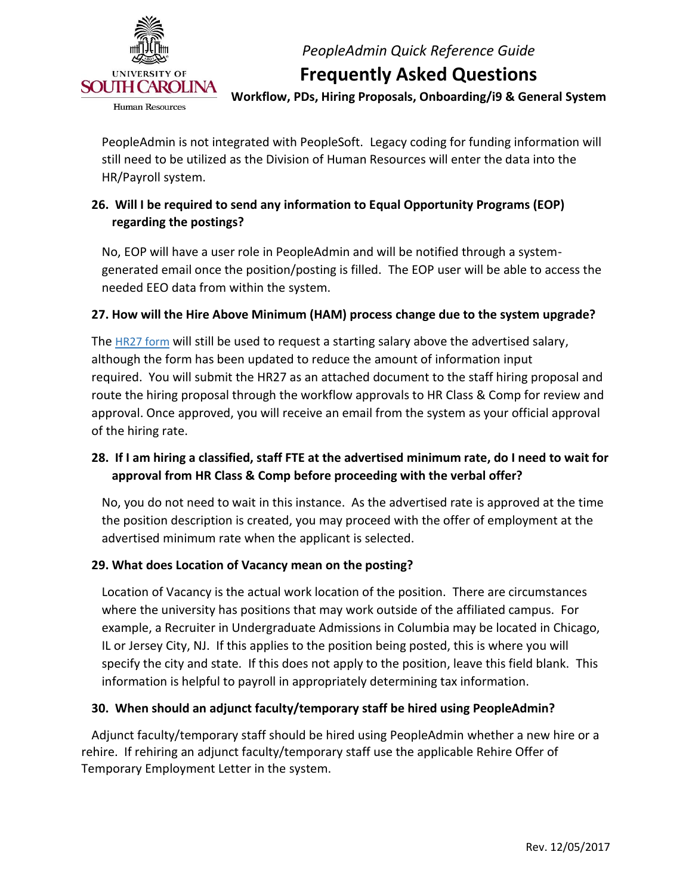

# **Frequently Asked Questions**

 **Workflow, PDs, Hiring Proposals, Onboarding/i9 & General System** 

 PeopleAdmin is not integrated with PeopleSoft. Legacy coding for funding information will still need to be utilized as the Division of Human Resources will enter the data into the HR/Payroll system.

## **26. Will I be required to send any information to Equal Opportunity Programs (EOP) regarding the postings?**

 No, EOP will have a user role in PeopleAdmin and will be notified through a system- generated email once the position/posting is filled. The EOP user will be able to access the needed EEO data from within the system.

## **27. How will the Hire Above Minimum (HAM) process change due to the system upgrade?**

The <u>HR27 form</u> will still be used to request a starting salary above the advertised salary, although the form has been updated to reduce the amount of information input required. You will submit the HR27 as an attached document to the staff hiring proposal and route the hiring proposal through the workflow approvals to HR Class & Comp for review and approval. Once approved, you will receive an email from the system as your official approval of the hiring rate.

## **28. If I am hiring a classified, staff FTE at the advertised minimum rate, do I need to wait for approval from HR Class & Comp before proceeding with the verbal offer?**

 No, you do not need to wait in this instance. As the advertised rate is approved at the time the position description is created, you may proceed with the offer of employment at the advertised minimum rate when the applicant is selected.

#### **29. What does Location of Vacancy mean on the posting?**

 Location of Vacancy is the actual work location of the position. There are circumstances where the university has positions that may work outside of the affiliated campus. For example, a Recruiter in Undergraduate Admissions in Columbia may be located in Chicago, IL or Jersey City, NJ. If this applies to the position being posted, this is where you will specify the city and state. If this does not apply to the position, leave this field blank. This information is helpful to payroll in appropriately determining tax information.

#### **30. When should an adjunct faculty/temporary staff be hired using PeopleAdmin?**

 Adjunct faculty/temporary staff should be hired using PeopleAdmin whether a new hire or a rehire. If rehiring an adjunct faculty/temporary staff use the applicable Rehire Offer of Temporary Employment Letter in the system.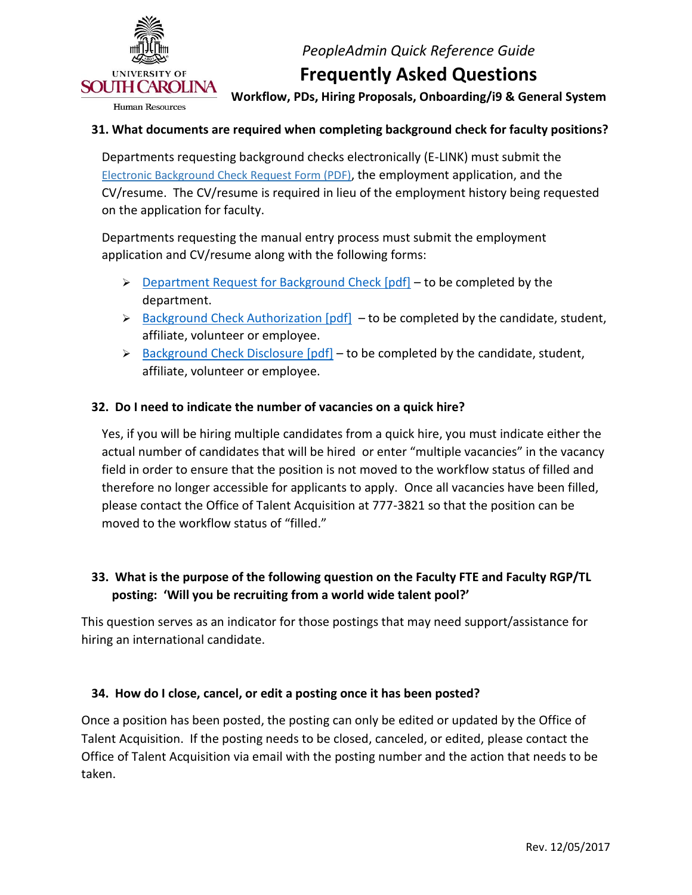

## **Frequently Asked Questions**

 **Workflow, PDs, Hiring Proposals, Onboarding/i9 & General System** 

#### **31. What documents are required when completing background check for faculty positions?**

 Departments requesting background checks electronically (E-LINK) must submit the CV/resume. The CV/resume is required in lieu of the employment history being requested on the application for faculty. [Electronic Background Check Request Form \(PDF\),](http://www.sc.edu/about/offices_and_divisions/human_resources/docs/background_check_request_e_link.pdf) the employment application, and the

Departments requesting the manual entry process must submit the employment application and CV/resume along with the following forms:

- $\triangleright$  [Department Request for Background Check \[pdf\]](http://www.sc.edu/about/offices_and_divisions/human_resources/docs/background_check_request.pdf)  to be completed by the department.
- $\triangleright$  [Background Check Authorization \[pdf\]](http://www.sc.edu/about/offices_and_divisions/human_resources/docs/authorization_background_check.pdf)  to be completed by the candidate, student, affiliate, volunteer or employee.
- $\triangleright$  [Background Check Disclosure \[pdf\]](http://www.sc.edu/about/offices_and_divisions/human_resources/docs/background_check_disclosure.pdf)  to be completed by the candidate, student, affiliate, volunteer or employee.

#### **32. Do I need to indicate the number of vacancies on a quick hire?**

 Yes, if you will be hiring multiple candidates from a quick hire, you must indicate either the actual number of candidates that will be hired or enter "multiple vacancies" in the vacancy field in order to ensure that the position is not moved to the workflow status of filled and therefore no longer accessible for applicants to apply. Once all vacancies have been filled, please contact the Office of Talent Acquisition at 777-3821 so that the position can be moved to the workflow status of "filled."

## **33. What is the purpose of the following question on the Faculty FTE and Faculty RGP/TL posting: 'Will you be recruiting from a world wide talent pool?'**

 This question serves as an indicator for those postings that may need support/assistance for hiring an international candidate.

### **34. How do I close, cancel, or edit a posting once it has been posted?**

 Once a position has been posted, the posting can only be edited or updated by the Office of Talent Acquisition. If the posting needs to be closed, canceled, or edited, please contact the Office of Talent Acquisition via email with the posting number and the action that needs to be taken.